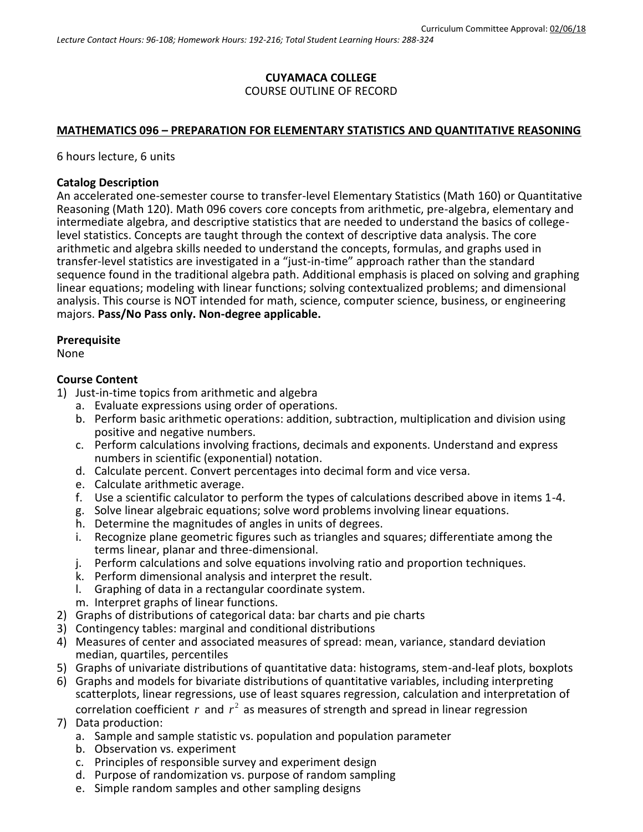#### **CUYAMACA COLLEGE** COURSE OUTLINE OF RECORD

#### **MATHEMATICS 096 – PREPARATION FOR ELEMENTARY STATISTICS AND QUANTITATIVE REASONING**

6 hours lecture, 6 units

#### **Catalog Description**

An accelerated one-semester course to transfer-level Elementary Statistics (Math 160) or Quantitative Reasoning (Math 120). Math 096 covers core concepts from arithmetic, pre-algebra, elementary and intermediate algebra, and descriptive statistics that are needed to understand the basics of collegelevel statistics. Concepts are taught through the context of descriptive data analysis. The core arithmetic and algebra skills needed to understand the concepts, formulas, and graphs used in transfer-level statistics are investigated in a "just-in-time" approach rather than the standard sequence found in the traditional algebra path. Additional emphasis is placed on solving and graphing linear equations; modeling with linear functions; solving contextualized problems; and dimensional analysis. This course is NOT intended for math, science, computer science, business, or engineering majors. **Pass/No Pass only. Non-degree applicable.**

#### **Prerequisite**

None

#### **Course Content**

- 1) Just-in-time topics from arithmetic and algebra
	- a. Evaluate expressions using order of operations.
	- b. Perform basic arithmetic operations: addition, subtraction, multiplication and division using positive and negative numbers.
	- c. Perform calculations involving fractions, decimals and exponents. Understand and express numbers in scientific (exponential) notation.
	- d. Calculate percent. Convert percentages into decimal form and vice versa.
	- e. Calculate arithmetic average.
	- f. Use a scientific calculator to perform the types of calculations described above in items 1-4.
	- g. Solve linear algebraic equations; solve word problems involving linear equations.
	- h. Determine the magnitudes of angles in units of degrees.
	- i. Recognize plane geometric figures such as triangles and squares; differentiate among the terms linear, planar and three-dimensional.
	- j. Perform calculations and solve equations involving ratio and proportion techniques.
	- k. Perform dimensional analysis and interpret the result.
	- l. Graphing of data in a rectangular coordinate system.
	- m. Interpret graphs of linear functions.
- 2) Graphs of distributions of categorical data: bar charts and pie charts
- 3) Contingency tables: marginal and conditional distributions
- 4) Measures of center and associated measures of spread: mean, variance, standard deviation median, quartiles, percentiles
- 5) Graphs of univariate distributions of quantitative data: histograms, stem-and-leaf plots, boxplots
- 6) Graphs and models for bivariate distributions of quantitative variables, including interpreting scatterplots, linear regressions, use of least squares regression, calculation and interpretation of

correlation coefficient  $r$  and  $r^2$  as measures of strength and spread in linear regression 7) Data production:

- a. Sample and sample statistic vs. population and population parameter
- b. Observation vs. experiment
- c. Principles of responsible survey and experiment design
- d. Purpose of randomization vs. purpose of random sampling
- e. Simple random samples and other sampling designs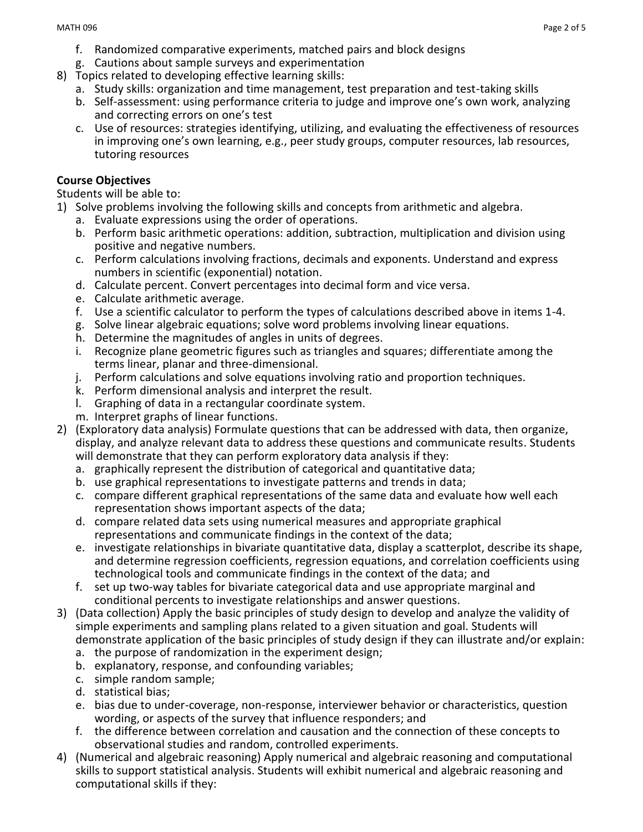- f. Randomized comparative experiments, matched pairs and block designs
- g. Cautions about sample surveys and experimentation
- 8) Topics related to developing effective learning skills:
	- a. Study skills: organization and time management, test preparation and test-taking skills
	- b. Self-assessment: using performance criteria to judge and improve one's own work, analyzing and correcting errors on one's test
	- c. Use of resources: strategies identifying, utilizing, and evaluating the effectiveness of resources in improving one's own learning, e.g., peer study groups, computer resources, lab resources, tutoring resources

## **Course Objectives**

Students will be able to:

- 1) Solve problems involving the following skills and concepts from arithmetic and algebra.
	- a. Evaluate expressions using the order of operations.
	- b. Perform basic arithmetic operations: addition, subtraction, multiplication and division using positive and negative numbers.
	- c. Perform calculations involving fractions, decimals and exponents. Understand and express numbers in scientific (exponential) notation.
	- d. Calculate percent. Convert percentages into decimal form and vice versa.
	- e. Calculate arithmetic average.
	- f. Use a scientific calculator to perform the types of calculations described above in items 1-4.
	- g. Solve linear algebraic equations; solve word problems involving linear equations.
	- h. Determine the magnitudes of angles in units of degrees.
	- i. Recognize plane geometric figures such as triangles and squares; differentiate among the terms linear, planar and three-dimensional.
	- j. Perform calculations and solve equations involving ratio and proportion techniques.
	- k. Perform dimensional analysis and interpret the result.
	- l. Graphing of data in a rectangular coordinate system.
	- m. Interpret graphs of linear functions.
- 2) (Exploratory data analysis) Formulate questions that can be addressed with data, then organize, display, and analyze relevant data to address these questions and communicate results. Students will demonstrate that they can perform exploratory data analysis if they:
	- a. graphically represent the distribution of categorical and quantitative data;
	- b. use graphical representations to investigate patterns and trends in data;
	- c. compare different graphical representations of the same data and evaluate how well each representation shows important aspects of the data;
	- d. compare related data sets using numerical measures and appropriate graphical representations and communicate findings in the context of the data;
	- e. investigate relationships in bivariate quantitative data, display a scatterplot, describe its shape, and determine regression coefficients, regression equations, and correlation coefficients using technological tools and communicate findings in the context of the data; and
	- f. set up two-way tables for bivariate categorical data and use appropriate marginal and conditional percents to investigate relationships and answer questions.
- 3) (Data collection) Apply the basic principles of study design to develop and analyze the validity of simple experiments and sampling plans related to a given situation and goal. Students will demonstrate application of the basic principles of study design if they can illustrate and/or explain:
	- a. the purpose of randomization in the experiment design;
	- b. explanatory, response, and confounding variables;
	- c. simple random sample;
	- d. statistical bias;
	- e. bias due to under-coverage, non-response, interviewer behavior or characteristics, question wording, or aspects of the survey that influence responders; and
	- f. the difference between correlation and causation and the connection of these concepts to observational studies and random, controlled experiments.
- 4) (Numerical and algebraic reasoning) Apply numerical and algebraic reasoning and computational skills to support statistical analysis. Students will exhibit numerical and algebraic reasoning and computational skills if they: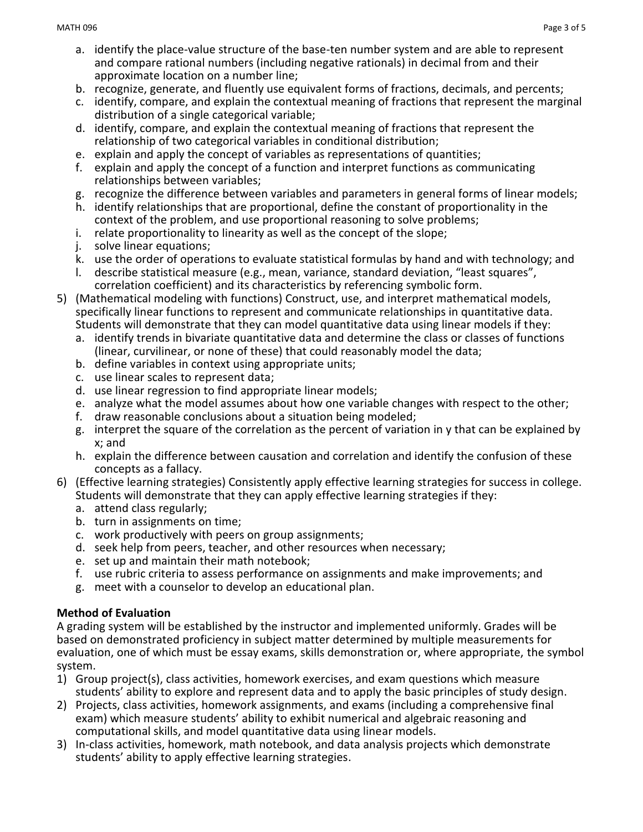- a. identify the place-value structure of the base-ten number system and are able to represent and compare rational numbers (including negative rationals) in decimal from and their approximate location on a number line;
- b. recognize, generate, and fluently use equivalent forms of fractions, decimals, and percents;
- c. identify, compare, and explain the contextual meaning of fractions that represent the marginal distribution of a single categorical variable;
- d. identify, compare, and explain the contextual meaning of fractions that represent the relationship of two categorical variables in conditional distribution;
- e. explain and apply the concept of variables as representations of quantities;
- f. explain and apply the concept of a function and interpret functions as communicating relationships between variables;
- g. recognize the difference between variables and parameters in general forms of linear models;
- h. identify relationships that are proportional, define the constant of proportionality in the context of the problem, and use proportional reasoning to solve problems;
- i. relate proportionality to linearity as well as the concept of the slope;
- j. solve linear equations;
- k. use the order of operations to evaluate statistical formulas by hand and with technology; and
- l. describe statistical measure (e.g., mean, variance, standard deviation, "least squares", correlation coefficient) and its characteristics by referencing symbolic form.
- 5) (Mathematical modeling with functions) Construct, use, and interpret mathematical models, specifically linear functions to represent and communicate relationships in quantitative data. Students will demonstrate that they can model quantitative data using linear models if they:
	- a. identify trends in bivariate quantitative data and determine the class or classes of functions (linear, curvilinear, or none of these) that could reasonably model the data;
	- b. define variables in context using appropriate units;
	- c. use linear scales to represent data;
	- d. use linear regression to find appropriate linear models;
	- e. analyze what the model assumes about how one variable changes with respect to the other;
	- f. draw reasonable conclusions about a situation being modeled;
	- g. interpret the square of the correlation as the percent of variation in y that can be explained by x; and
	- h. explain the difference between causation and correlation and identify the confusion of these concepts as a fallacy.
- 6) (Effective learning strategies) Consistently apply effective learning strategies for success in college. Students will demonstrate that they can apply effective learning strategies if they:
	- a. attend class regularly;
	- b. turn in assignments on time;
	- c. work productively with peers on group assignments;
	- d. seek help from peers, teacher, and other resources when necessary;
	- e. set up and maintain their math notebook;
	- f. use rubric criteria to assess performance on assignments and make improvements; and
	- g. meet with a counselor to develop an educational plan.

## **Method of Evaluation**

A grading system will be established by the instructor and implemented uniformly. Grades will be based on demonstrated proficiency in subject matter determined by multiple measurements for evaluation, one of which must be essay exams, skills demonstration or, where appropriate, the symbol system.

- 1) Group project(s), class activities, homework exercises, and exam questions which measure students' ability to explore and represent data and to apply the basic principles of study design.
- 2) Projects, class activities, homework assignments, and exams (including a comprehensive final exam) which measure students' ability to exhibit numerical and algebraic reasoning and computational skills, and model quantitative data using linear models.
- 3) In-class activities, homework, math notebook, and data analysis projects which demonstrate students' ability to apply effective learning strategies.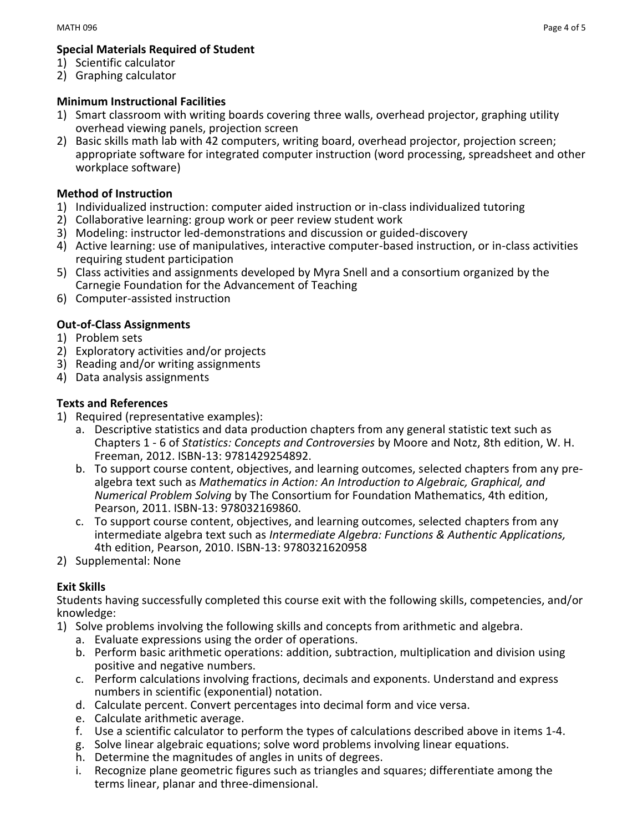## **Special Materials Required of Student**

- 1) Scientific calculator
- 2) Graphing calculator

## **Minimum Instructional Facilities**

- 1) Smart classroom with writing boards covering three walls, overhead projector, graphing utility overhead viewing panels, projection screen
- 2) Basic skills math lab with 42 computers, writing board, overhead projector, projection screen; appropriate software for integrated computer instruction (word processing, spreadsheet and other workplace software)

## **Method of Instruction**

- 1) Individualized instruction: computer aided instruction or in-class individualized tutoring
- 2) Collaborative learning: group work or peer review student work
- 3) Modeling: instructor led-demonstrations and discussion or guided-discovery
- 4) Active learning: use of manipulatives, interactive computer-based instruction, or in-class activities requiring student participation
- 5) Class activities and assignments developed by Myra Snell and a consortium organized by the Carnegie Foundation for the Advancement of Teaching
- 6) Computer-assisted instruction

## **Out-of-Class Assignments**

- 1) Problem sets
- 2) Exploratory activities and/or projects
- 3) Reading and/or writing assignments
- 4) Data analysis assignments

#### **Texts and References**

- 1) Required (representative examples):
	- a. Descriptive statistics and data production chapters from any general statistic text such as Chapters 1 - 6 of *Statistics: Concepts and Controversies* by Moore and Notz, 8th edition, W. H. Freeman, 2012. ISBN-13: 9781429254892.
	- b. To support course content, objectives, and learning outcomes, selected chapters from any prealgebra text such as *Mathematics in Action: An Introduction to Algebraic, Graphical, and Numerical Problem Solving* by The Consortium for Foundation Mathematics, 4th edition, Pearson, 2011. ISBN-13: 978032169860.
	- c. To support course content, objectives, and learning outcomes, selected chapters from any intermediate algebra text such as *Intermediate Algebra: Functions & Authentic Applications,* 4th edition, Pearson, 2010. ISBN-13: 9780321620958
- 2) Supplemental: None

## **Exit Skills**

Students having successfully completed this course exit with the following skills, competencies, and/or knowledge:

- 1) Solve problems involving the following skills and concepts from arithmetic and algebra.
	- a. Evaluate expressions using the order of operations.
	- b. Perform basic arithmetic operations: addition, subtraction, multiplication and division using positive and negative numbers.
	- c. Perform calculations involving fractions, decimals and exponents. Understand and express numbers in scientific (exponential) notation.
	- d. Calculate percent. Convert percentages into decimal form and vice versa.
	- e. Calculate arithmetic average.
	- f. Use a scientific calculator to perform the types of calculations described above in items 1-4.
	- g. Solve linear algebraic equations; solve word problems involving linear equations.
	- h. Determine the magnitudes of angles in units of degrees.
	- i. Recognize plane geometric figures such as triangles and squares; differentiate among the terms linear, planar and three-dimensional.